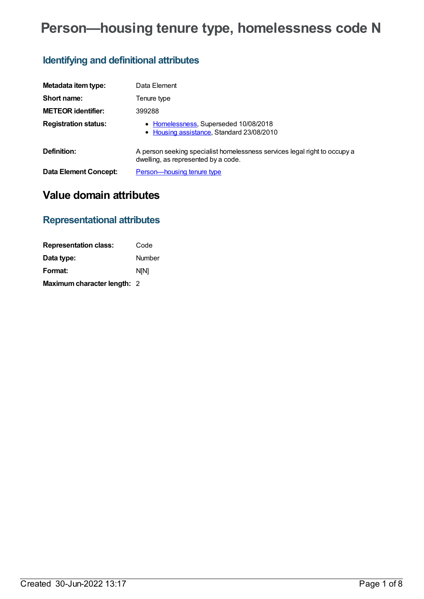# **Person—housing tenure type, homelessness code N**

# **Identifying and definitional attributes**

| Metadata item type:         | Data Element                                                                                                     |
|-----------------------------|------------------------------------------------------------------------------------------------------------------|
| Short name:                 | Tenure type                                                                                                      |
| <b>METEOR identifier:</b>   | 399288                                                                                                           |
| <b>Registration status:</b> | • Homelessness, Superseded 10/08/2018<br>• Housing assistance, Standard 23/08/2010                               |
| Definition:                 | A person seeking specialist homelessness services legal right to occupy a<br>dwelling, as represented by a code. |
| Data Element Concept:       | Person-housing tenure type                                                                                       |

# **Value domain attributes**

### **Representational attributes**

| <b>Representation class:</b> | Code          |
|------------------------------|---------------|
| Data type:                   | <b>Number</b> |
| Format:                      | <b>N[N]</b>   |
| Maximum character length: 2  |               |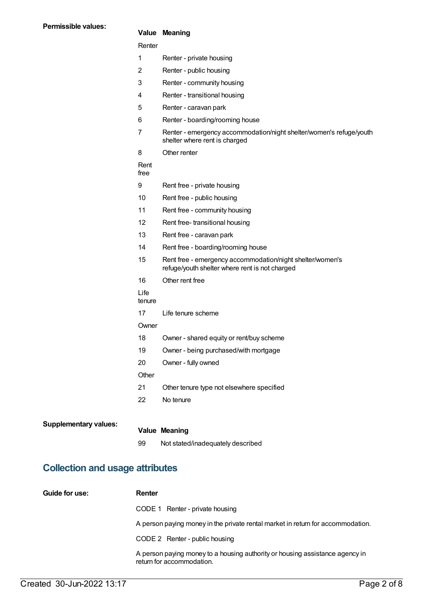### **Value Meaning**

| Renter         |                                                                                                             |
|----------------|-------------------------------------------------------------------------------------------------------------|
| 1              | Renter - private housing                                                                                    |
| 2              | Renter - public housing                                                                                     |
| 3              | Renter - community housing                                                                                  |
| 4              | Renter - transitional housing                                                                               |
| 5              | Renter - caravan park                                                                                       |
| 6              | Renter - boarding/rooming house                                                                             |
| 7              | Renter - emergency accommodation/night shelter/women's refuge/youth<br>shelter where rent is charged        |
| 8              | Other renter                                                                                                |
| Rent<br>free   |                                                                                                             |
| 9              | Rent free - private housing                                                                                 |
| 10             | Rent free - public housing                                                                                  |
| 11             | Rent free - community housing                                                                               |
| 12             | Rent free-transitional housing                                                                              |
| 13             | Rent free - caravan park                                                                                    |
| 14             | Rent free - boarding/rooming house                                                                          |
| 15             | Rent free - emergency accommodation/night shelter/women's<br>refuge/youth shelter where rent is not charged |
| 16             | Other rent free                                                                                             |
| Life<br>tenure |                                                                                                             |
| 17             | Life tenure scheme                                                                                          |
| Owner          |                                                                                                             |
| 18             | Owner - shared equity or rent/buy scheme                                                                    |
| 19             | Owner - being purchased/with mortgage                                                                       |
| 20             | Owner - fully owned                                                                                         |
| Other          |                                                                                                             |
| 21             | Other tenure type not elsewhere specified                                                                   |
| 22             | No tenure                                                                                                   |
|                |                                                                                                             |
|                | <b>Value Meaning</b>                                                                                        |
| 99             | Not stated/inadequately described                                                                           |

# **Collection and usage attributes**

| Guide for use: | Renter                                                                                                    |
|----------------|-----------------------------------------------------------------------------------------------------------|
|                | CODE 1 Renter - private housing                                                                           |
|                | A person paying money in the private rental market in return for accommodation.                           |
|                | CODE 2 Renter - public housing                                                                            |
|                | A person paying money to a housing authority or housing assistance agency in<br>return for accommodation. |

**Supplementary values:**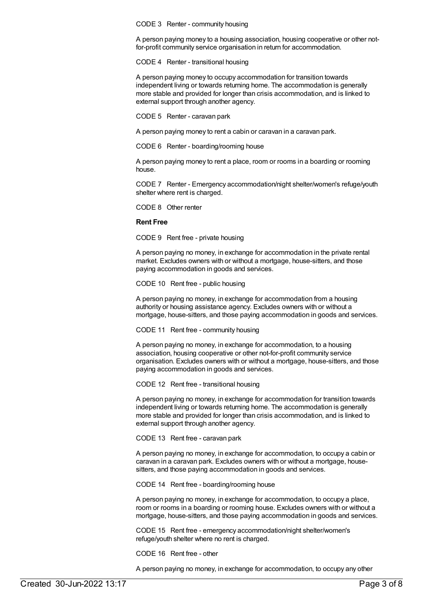CODE 3 Renter - community housing

A person paying money to a housing association, housing cooperative or other notfor-profit community service organisation in return for accommodation.

CODE 4 Renter - transitional housing

A person paying money to occupy accommodation for transition towards independent living or towards returning home. The accommodation is generally more stable and provided for longer than crisis accommodation, and is linked to external support through another agency.

CODE 5 Renter - caravan park

A person paying money to rent a cabin or caravan in a caravan park.

CODE 6 Renter - boarding/rooming house

A person paying money to rent a place, room or rooms in a boarding or rooming house.

CODE 7 Renter - Emergency accommodation/night shelter/women's refuge/youth shelter where rent is charged.

CODE 8 Other renter

#### **Rent Free**

CODE 9 Rent free - private housing

A person paying no money, in exchange for accommodation in the private rental market. Excludes owners with or without a mortgage, house-sitters, and those paying accommodation in goods and services.

CODE 10 Rent free - public housing

A person paying no money, in exchange for accommodation from a housing authority or housing assistance agency. Excludes owners with or without a mortgage, house-sitters, and those paying accommodation in goods and services.

CODE 11 Rent free - community housing

A person paying no money, in exchange for accommodation, to a housing association, housing cooperative or other not-for-profit community service organisation. Excludes owners with or without a mortgage, house-sitters, and those paying accommodation in goods and services.

CODE 12 Rent free - transitional housing

A person paying no money, in exchange for accommodation for transition towards independent living or towards returning home. The accommodation is generally more stable and provided for longer than crisis accommodation, and is linked to external support through another agency.

CODE 13 Rent free - caravan park

A person paying no money, in exchange for accommodation, to occupy a cabin or caravan in a caravan park. Excludes owners with or without a mortgage, housesitters, and those paying accommodation in goods and services.

CODE 14 Rent free - boarding/rooming house

A person paying no money, in exchange for accommodation, to occupy a place, room or rooms in a boarding or rooming house. Excludes owners with or without a mortgage, house-sitters, and those paying accommodation in goods and services.

CODE 15 Rent free - emergency accommodation/night shelter/women's refuge/youth shelter where no rent is charged.

CODE 16 Rent free - other

A person paying no money, in exchange for accommodation, to occupy any other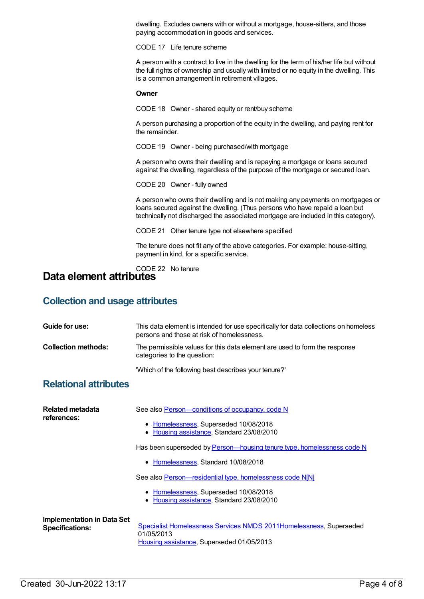dwelling. Excludes owners with or without a mortgage, house-sitters, and those paying accommodation in goods and services.

CODE 17 Life tenure scheme

A person with a contract to live in the dwelling for the term of his/her life but without the full rights of ownership and usually with limited or no equity in the dwelling. This is a common arrangement in retirement villages.

#### **Owner**

CODE 18 Owner - shared equity or rent/buy scheme

A person purchasing a proportion of the equity in the dwelling, and paying rent for the remainder.

CODE 19 Owner - being purchased/with mortgage

A person who owns their dwelling and is repaying a mortgage or loans secured against the dwelling, regardless of the purpose of the mortgage or secured loan.

CODE 20 Owner - fully owned

A person who owns their dwelling and is not making any payments on mortgages or loans secured against the dwelling. (Thus persons who have repaid a loan but technically not discharged the associated mortgage are included in this category).

CODE 21 Other tenure type not elsewhere specified

The tenure does not fit any of the above categories. For example: house-sitting, payment in kind, for a specific service.

#### CODE 22 No tenure **Data element attributes**

### **Collection and usage attributes**

| Guide for use:                                              | This data element is intended for use specifically for data collections on homeless<br>persons and those at risk of homelessness.                                                                                                                                                                                                                                                                           |
|-------------------------------------------------------------|-------------------------------------------------------------------------------------------------------------------------------------------------------------------------------------------------------------------------------------------------------------------------------------------------------------------------------------------------------------------------------------------------------------|
| <b>Collection methods:</b>                                  | The permissible values for this data element are used to form the response<br>categories to the question:                                                                                                                                                                                                                                                                                                   |
|                                                             | 'Which of the following best describes your tenure?'                                                                                                                                                                                                                                                                                                                                                        |
| <b>Relational attributes</b>                                |                                                                                                                                                                                                                                                                                                                                                                                                             |
| Related metadata<br>references:                             | See also Person-conditions of occupancy, code N<br>• Homelessness, Superseded 10/08/2018<br>• Housing assistance, Standard 23/08/2010<br>Has been superseded by Person-housing tenure type, homelessness code N<br>• Homelessness, Standard 10/08/2018<br>See also Person-residential type, homelessness code N[N]<br>• Homelessness, Superseded 10/08/2018<br>Housing assistance, Standard 23/08/2010<br>٠ |
| <b>Implementation in Data Set</b><br><b>Specifications:</b> | Specialist Homelessness Services NMDS 2011Homelessness, Superseded<br>01/05/2013<br>Housing assistance, Superseded 01/05/2013                                                                                                                                                                                                                                                                               |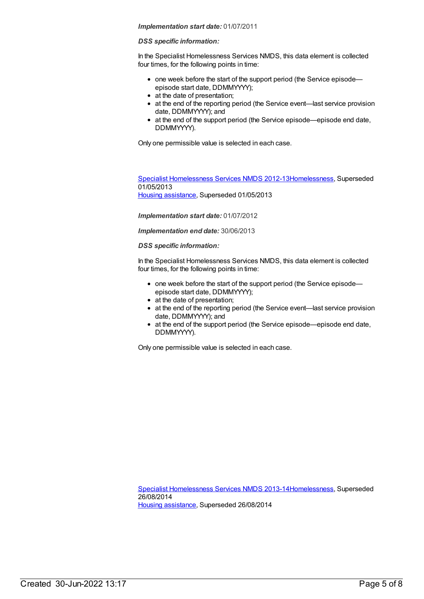#### *Implementation start date:* 01/07/2011

#### *DSS specific information:*

In the Specialist Homelessness Services NMDS, this data element is collected four times, for the following points in time:

- one week before the start of the support period (the Service episodeepisode start date, DDMMYYYY);
- at the date of presentation;
- at the end of the reporting period (the Service event—last service provision date, DDMMYYYY); and
- at the end of the support period (the Service episode—episode end date, DDMMYYYY).

Only one permissible value is selected in each case.

Specialist [Homelessness](https://meteor.aihw.gov.au/content/508954) Services NMDS 2012-1[3Homelessness](https://meteor.aihw.gov.au/RegistrationAuthority/14), Superseded 01/05/2013 Housing [assistance](https://meteor.aihw.gov.au/RegistrationAuthority/11), Superseded 01/05/2013

*Implementation start date:* 01/07/2012

*Implementation end date:* 30/06/2013

#### *DSS specific information:*

In the Specialist Homelessness Services NMDS, this data element is collected four times, for the following points in time:

- one week before the start of the support period (the Service episodeepisode start date, DDMMYYYY);
- at the date of presentation;
- at the end of the reporting period (the Service event—last service provision date, DDMMYYYY); and
- at the end of the support period (the Service episode—episode end date, DDMMYYYY).

Only one permissible value is selected in each case.

Specialist [Homelessness](https://meteor.aihw.gov.au/content/505626) Services NMDS 2013-1[4Homelessness](https://meteor.aihw.gov.au/RegistrationAuthority/14), Superseded 26/08/2014 Housing [assistance](https://meteor.aihw.gov.au/RegistrationAuthority/11), Superseded 26/08/2014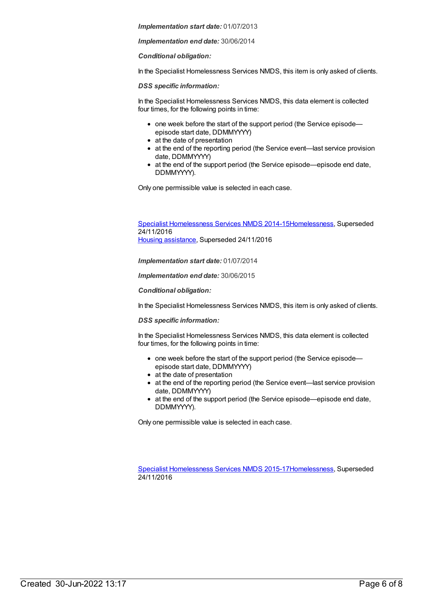*Implementation start date:* 01/07/2013

*Implementation end date:* 30/06/2014

*Conditional obligation:*

In the Specialist Homelessness Services NMDS, this item is only asked of clients.

*DSS specific information:*

In the Specialist Homelessness Services NMDS, this data element is collected four times, for the following points in time:

- one week before the start of the support period (the Service episodeepisode start date, DDMMYYYY)
- at the date of presentation
- at the end of the reporting period (the Service event—last service provision date, DDMMYYYY)
- at the end of the support period (the Service episode—episode end date, DDMMYYYY).

Only one permissible value is selected in each case.

Specialist [Homelessness](https://meteor.aihw.gov.au/content/581255) Services NMDS 2014-1[5Homelessness](https://meteor.aihw.gov.au/RegistrationAuthority/14), Superseded 24/11/2016 Housing [assistance](https://meteor.aihw.gov.au/RegistrationAuthority/11), Superseded 24/11/2016

*Implementation start date:* 01/07/2014

*Implementation end date:* 30/06/2015

*Conditional obligation:*

In the Specialist Homelessness Services NMDS, this item is only asked of clients.

#### *DSS specific information:*

In the Specialist Homelessness Services NMDS, this data element is collected four times, for the following points in time:

- one week before the start of the support period (the Service episodeepisode start date, DDMMYYYY)
- at the date of presentation
- at the end of the reporting period (the Service event—last service provision date, DDMMYYYY)
- at the end of the support period (the Service episode—episode end date, DDMMYYYY).

Only one permissible value is selected in each case.

Specialist [Homelessness](https://meteor.aihw.gov.au/content/658005) Services NMDS 2015-1[7Homelessness](https://meteor.aihw.gov.au/RegistrationAuthority/14), Superseded 24/11/2016